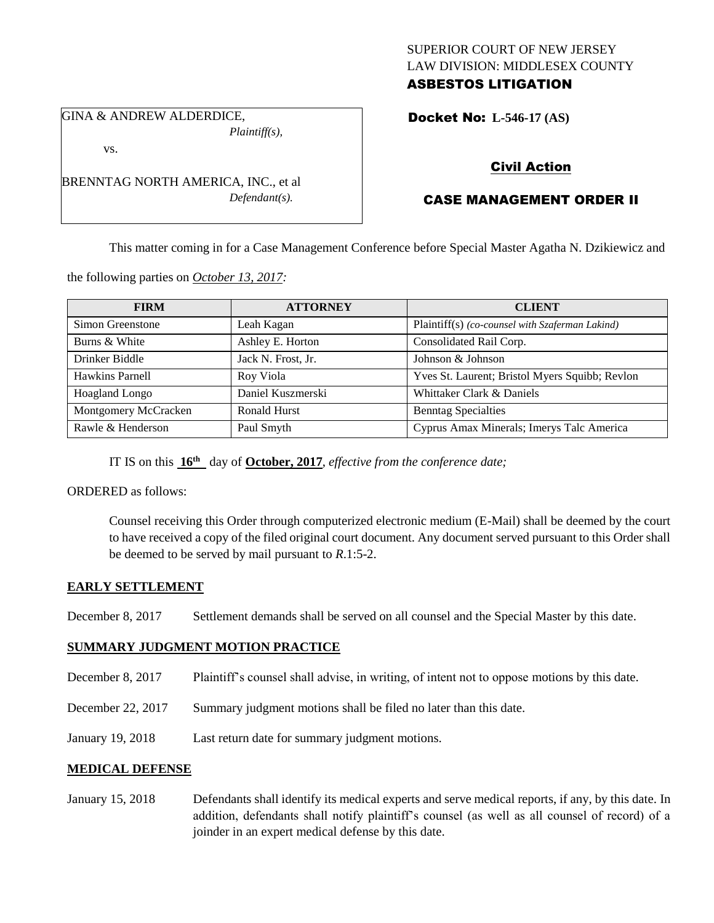## SUPERIOR COURT OF NEW JERSEY LAW DIVISION: MIDDLESEX COUNTY ASBESTOS LITIGATION

GINA & ANDREW ALDERDICE, *Plaintiff(s),*

vs.

BRENNTAG NORTH AMERICA, INC., et al *Defendant(s).*

## Docket No: **L-546-17 (AS)**

# Civil Action

# CASE MANAGEMENT ORDER II

This matter coming in for a Case Management Conference before Special Master Agatha N. Dzikiewicz and

the following parties on *October 13, 2017:*

| <b>FIRM</b>          | <b>ATTORNEY</b>    | <b>CLIENT</b>                                   |
|----------------------|--------------------|-------------------------------------------------|
| Simon Greenstone     | Leah Kagan         | Plaintiff(s) (co-counsel with Szaferman Lakind) |
| Burns & White        | Ashley E. Horton   | Consolidated Rail Corp.                         |
| Drinker Biddle       | Jack N. Frost, Jr. | Johnson & Johnson                               |
| Hawkins Parnell      | Roy Viola          | Yves St. Laurent; Bristol Myers Squibb; Revlon  |
| Hoagland Longo       | Daniel Kuszmerski  | Whittaker Clark & Daniels                       |
| Montgomery McCracken | Ronald Hurst       | <b>Benntag Specialties</b>                      |
| Rawle & Henderson    | Paul Smyth         | Cyprus Amax Minerals; Imerys Talc America       |

IT IS on this **16th** day of **October, 2017**, *effective from the conference date;*

ORDERED as follows:

Counsel receiving this Order through computerized electronic medium (E-Mail) shall be deemed by the court to have received a copy of the filed original court document. Any document served pursuant to this Order shall be deemed to be served by mail pursuant to *R*.1:5-2.

## **EARLY SETTLEMENT**

December 8, 2017 Settlement demands shall be served on all counsel and the Special Master by this date.

## **SUMMARY JUDGMENT MOTION PRACTICE**

- December 8, 2017 Plaintiff's counsel shall advise, in writing, of intent not to oppose motions by this date.
- December 22, 2017 Summary judgment motions shall be filed no later than this date.
- January 19, 2018 Last return date for summary judgment motions.

## **MEDICAL DEFENSE**

January 15, 2018 Defendants shall identify its medical experts and serve medical reports, if any, by this date. In addition, defendants shall notify plaintiff's counsel (as well as all counsel of record) of a joinder in an expert medical defense by this date.